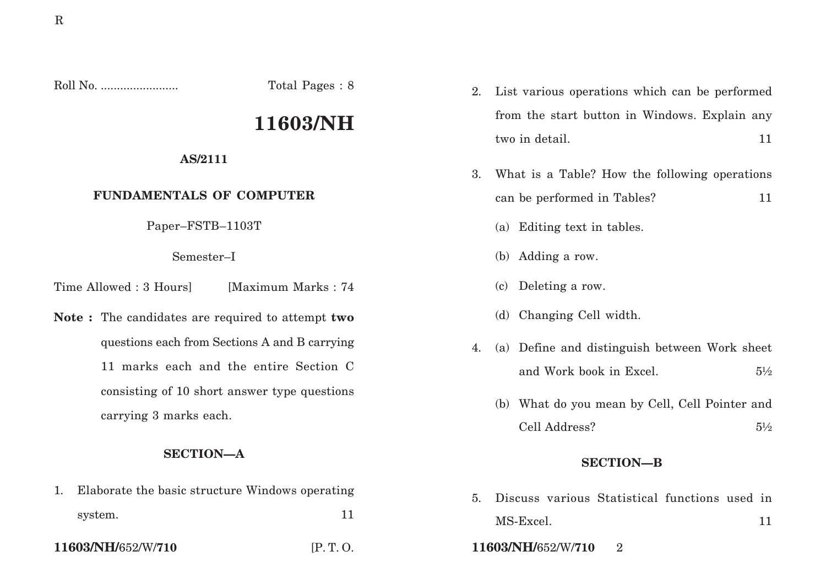Roll No. ........................ Total Pages : 8

# **11603/NH**

## **AS/2111**

## **FUNDAMENTALS OF COMPUTER**

Paper–FSTB–1103T

Semester–I

Time Allowed : 3 Hoursl [Maximum Marks : 74]

**Note :** The candidates are required to attempt **two** questions each from Sections A and B carrying 11 marks each and the entire Section C consisting of 10 short answer type questions carrying 3 marks each.

## **SECTION—A**

1. Elaborate the basic structure Windows operating system. 11

2. List various operations which can be performed from the start button in Windows. Explain any two in detail. 11

- 3. What is a Table? How the following operations can be performed in Tables? 11
	- (a) Editing text in tables.
	- (b) Adding a row.
	- (c) Deleting a row.
	- (d) Changing Cell width.
- 4. (a) Define and distinguish between Work sheet and Work book in Excel.  $5\frac{1}{2}$ 
	- (b) What do you mean by Cell, Cell Pointer and Cell Address? 5½

## **SECTION—B**

- 5. Discuss various Statistical functions used in MS-Excel. 11
- **11603/NH/**652/W/**710** [P. T. O. **11603/NH/**652/W/**710** 2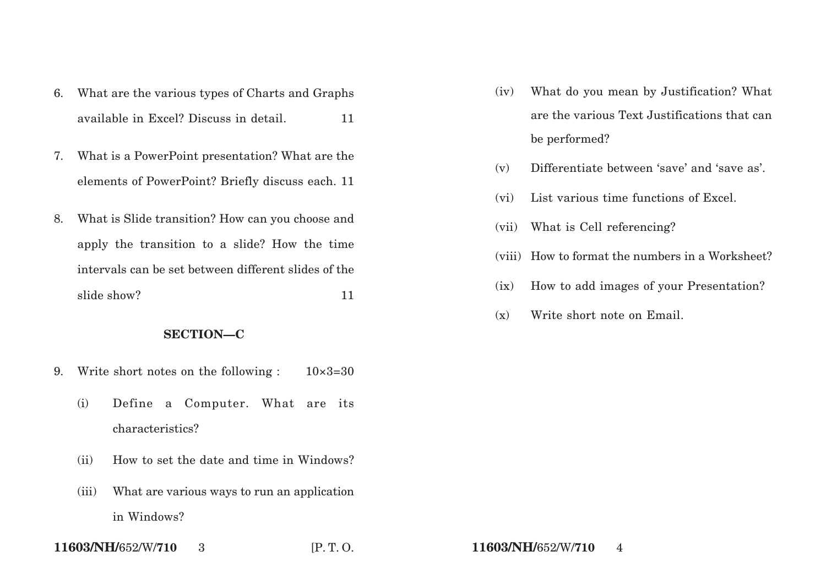- 6. What are the various types of Charts and Graphs available in Excel? Discuss in detail. 11
- 7. What is a PowerPoint presentation? What are the elements of PowerPoint? Briefly discuss each. 11
- 8. What is Slide transition? How can you choose and apply the transition to a slide? How the time intervals can be set between different slides of the slide show? 11

### **SECTION—C**

- 9. Write short notes on the following :  $10\times3=30$ 
	- (i) Define a Computer. What are its characteristics?
	- (ii) How to set the date and time in Windows?
	- (iii) What are various ways to run an application in Windows?
- **11603/NH/**652/W/**710** 3 [P. T. O. **11603/NH/**652/W/**710** 4
- (iv) What do you mean by Justification? What are the various Text Justifications that can be performed?
- (v) Differentiate between 'save' and 'save as'.
- (vi) List various time functions of Excel.
- (vii) What is Cell referencing?
- (viii) How to format the numbers in a Worksheet?
- (ix) How to add images of your Presentation?
- (x) Write short note on Email.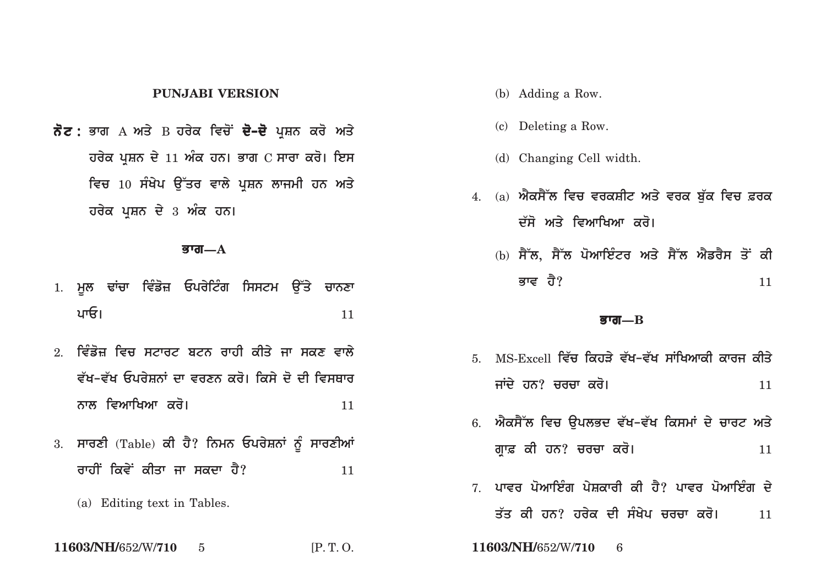### **PUNJABI VERSION**

**ਨੋਟ :** ਭਾਗ А ਅਤੇ В ਹਰੇਕ ਵਿਚੋਂ **ਦੋ–ਦੋ** ਪਸ਼ਨ ਕਰੋ ਅਤੇ **ਹਰੇਕ ਪਸ਼ਨ ਦੇ 11 ਅੰਕ ਹਨ। ਭਾਗ C ਸਾਰਾ ਕਰੋ। ਇਸ** <u>ਵਿਚ 10 ਸੰਖੇਪ ਉੱਤਰ ਵਾਲੇ ਪ੍ਰਸ਼ਨ ਲਾਜਮੀ ਹਨ ਅਤੇ</u> **ਹਰੇਕ ਪੁਸ਼ਨ ਦੇ 3 ਅੰਕ ਹਨ।** 

#### **Bwg—A**

- 1. ਮਲ ਢਾਂਚਾ ਵਿੰਡੋਜ਼ ਓਪਰੇਟਿੰਗ ਸਿਸਟਮ **ੳੱਤੇ ਚਾਨ**ਣਾ **pwE[** <sup>11</sup>
- <u>2. ਵਿੰਡੋਜ ਵਿਚ ਸਟਾਰਟ ਬਟਨ ਰਾਹੀ ਕੀਤੇ ਜਾ ਸਕਣ ਵਾਲੇ</u> ਵੱਖ-ਵੱਖ ਓਪਰੇਸ਼ਨਾਂ ਦਾ ਵਰਣਨ ਕਰੋ। ਕਿਸੇ ਦੋ ਦੀ ਵਿਸਥਾਰ **nwl ivAwiKAw kro[** <sup>11</sup>
- 3. ਸਾਰਣੀ (Table) ਕੀ ਹੈ? ਨਿਮਨ ਓਪਰੇਸ਼ਨਾਂ ਨੂੰ ਸਾਰਣੀਆਂ **rwhIN ikvyN kIqw jw skdw hY?** <sup>11</sup>
	- (a) Editing text in Tables.

**11603/NH/**652/W/**710** 5 [P. T. O. **11603/NH/**652/W/**710** 6

- (b) Adding a Row.
- (c) Deleting a Row.
- (d) Changing Cell width.
- 4. (a) ਐਕਸੈੱਲ ਵਿਚ ਵਰਕਸ਼ੀਟ ਅਤੇ ਵਰਕ ਬੱਕ ਵਿਚ ਫ਼ਰਕ ਦੱਸੋ ਅਤੇ ਵਿਆਖਿਆ ਕਰੋ।
	- (b) ਸੈੱਲ, ਸੈੱਲ ਪੋਆਇੰਟਰ ਅਤੇ ਸੈੱਲ ਐਡਰੈਸ ਤੋਂ ਕੀ **Bwv hY?** <sup>11</sup>

#### **Bwg—B**

- 5. MS-Excell ਵਿੱਚ ਕਿਹਤੇ ਵੱਖ–ਵੱਖ ਸਾਂਖਿਆਕੀ ਕਾਰਜ ਕੀਤੇ ਜਾਂਦੇ ਹਨ? ਚਰਚਾ ਕਰੋ। **Andrew Krown ਵਿੱਚ 11**
- 6. ਐਕਸੈੱਲ ਵਿਚ **ੳਪਲਭਦ ਵੱਖ-ਵੱਖ ਕਿਸਮਾਂ ਦੇ ਚਾਰਟ** ਅਤੇ **gRw& kI hn? crcw kro[** <sup>11</sup>
- 7 ਪਾਵਰ ਪੋਆਇੰਗ ਪੇਸਕਾਰੀ ਕੀ ਹੈ? ਪਾਵਰ ਪੋਆਇੰਗ ਦੇ <u>ਤੱਤ ਕੀ ਹਨ? ਹਰੇਕ ਦੀ ਸੰਖੇਪ ਚਰਚਾ ਕਰੋ। 11</u>